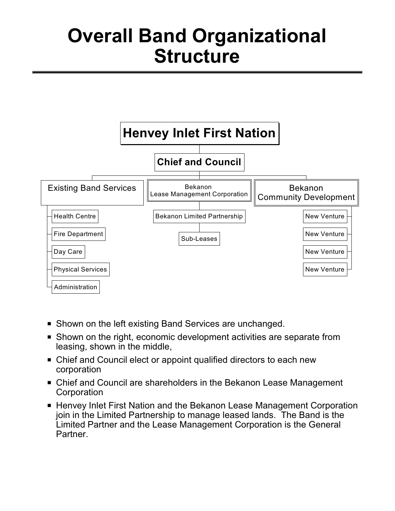## **Overall Band Organizational Structure**



- **B** Shown on the left existing Band Services are unchanged.
- Shown on the right, economic development activities are separate from leasing, shown in the middle,
- Chief and Council elect or appoint qualified directors to each new corporation
- Chief and Council are shareholders in the Bekanon Lease Management **Corporation**
- Henvey Inlet First Nation and the Bekanon Lease Management Corporation join in the Limited Partnership to manage leased lands. The Band is the Limited Partner and the Lease Management Corporation is the General Partner.